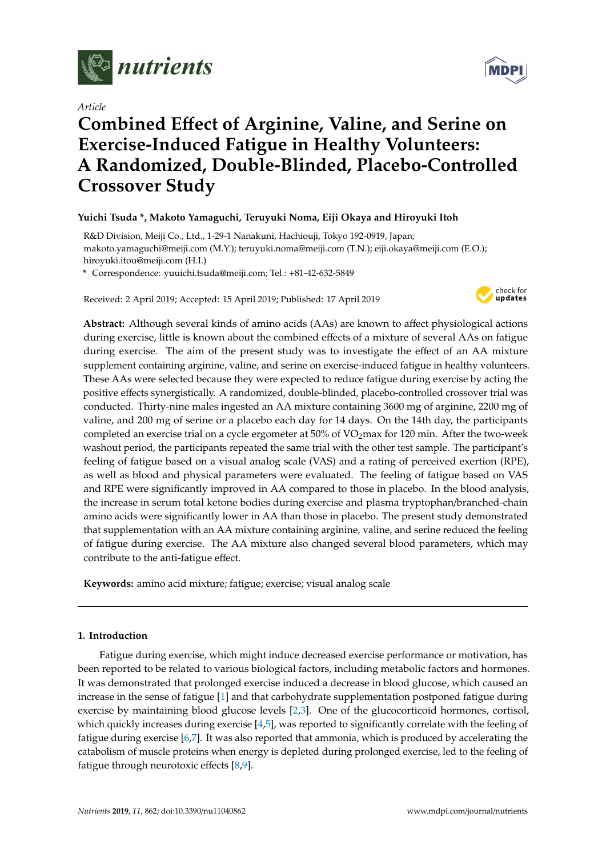

*Article*

# **Combined E**ff**ect of Arginine, Valine, and Serine on Exercise-Induced Fatigue in Healthy Volunteers: A Randomized, Double-Blinded, Placebo-Controlled Crossover Study**

# **Yuichi Tsuda \*, Makoto Yamaguchi, Teruyuki Noma, Eiji Okaya and Hiroyuki Itoh**

R&D Division, Meiji Co., Ltd., 1-29-1 Nanakuni, Hachiouji, Tokyo 192-0919, Japan; makoto.yamaguchi@meiji.com (M.Y.); teruyuki.noma@meiji.com (T.N.); eiji.okaya@meiji.com (E.O.); hiroyuki.itou@meiji.com (H.I.)

**\*** Correspondence: yuuichi.tsuda@meiji.com; Tel.: +81-42-632-5849

Received: 2 April 2019; Accepted: 15 April 2019; Published: 17 April 2019



**Abstract:** Although several kinds of amino acids (AAs) are known to affect physiological actions during exercise, little is known about the combined effects of a mixture of several AAs on fatigue during exercise. The aim of the present study was to investigate the effect of an AA mixture supplement containing arginine, valine, and serine on exercise-induced fatigue in healthy volunteers. These AAs were selected because they were expected to reduce fatigue during exercise by acting the positive effects synergistically. A randomized, double-blinded, placebo-controlled crossover trial was conducted. Thirty-nine males ingested an AA mixture containing 3600 mg of arginine, 2200 mg of valine, and 200 mg of serine or a placebo each day for 14 days. On the 14th day, the participants completed an exercise trial on a cycle ergometer at  $50\%$  of VO<sub>2</sub>max for 120 min. After the two-week washout period, the participants repeated the same trial with the other test sample. The participant's feeling of fatigue based on a visual analog scale (VAS) and a rating of perceived exertion (RPE), as well as blood and physical parameters were evaluated. The feeling of fatigue based on VAS and RPE were significantly improved in AA compared to those in placebo. In the blood analysis, the increase in serum total ketone bodies during exercise and plasma tryptophan/branched-chain amino acids were significantly lower in AA than those in placebo. The present study demonstrated that supplementation with an AA mixture containing arginine, valine, and serine reduced the feeling of fatigue during exercise. The AA mixture also changed several blood parameters, which may contribute to the anti-fatigue effect.

**Keywords:** amino acid mixture; fatigue; exercise; visual analog scale

# **1. Introduction**

Fatigue during exercise, which might induce decreased exercise performance or motivation, has been reported to be related to various biological factors, including metabolic factors and hormones. It was demonstrated that prolonged exercise induced a decrease in blood glucose, which caused an increase in the sense of fatigue [\[1\]](#page-10-0) and that carbohydrate supplementation postponed fatigue during exercise by maintaining blood glucose levels [\[2](#page-10-1)[,3\]](#page-10-2). One of the glucocorticoid hormones, cortisol, which quickly increases during exercise [\[4](#page-10-3)[,5\]](#page-10-4), was reported to significantly correlate with the feeling of fatigue during exercise [\[6](#page-10-5)[,7\]](#page-10-6). It was also reported that ammonia, which is produced by accelerating the catabolism of muscle proteins when energy is depleted during prolonged exercise, led to the feeling of fatigue through neurotoxic effects [\[8,](#page-10-7)[9\]](#page-10-8).

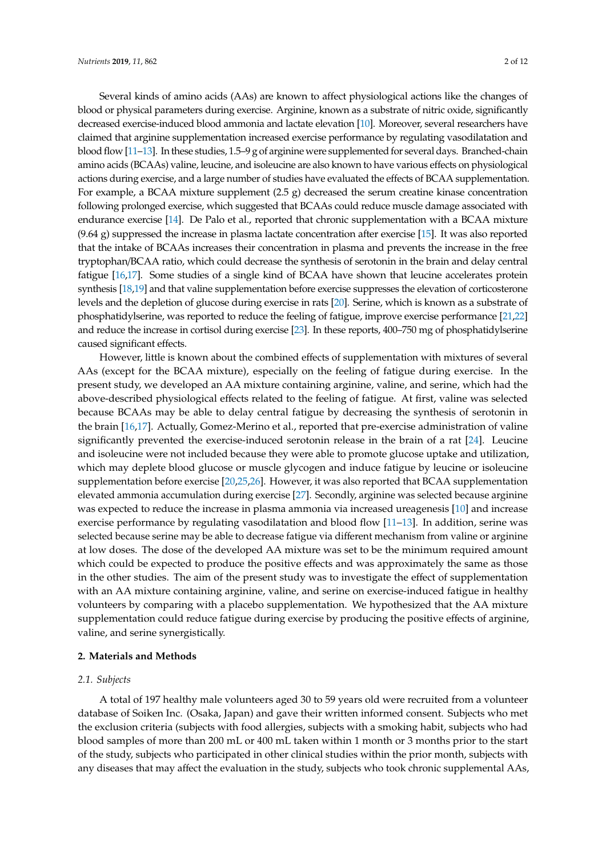Several kinds of amino acids (AAs) are known to affect physiological actions like the changes of blood or physical parameters during exercise. Arginine, known as a substrate of nitric oxide, significantly decreased exercise-induced blood ammonia and lactate elevation [\[10\]](#page-10-9). Moreover, several researchers have claimed that arginine supplementation increased exercise performance by regulating vasodilatation and blood flow [\[11](#page-10-10)[–13\]](#page-10-11). In these studies, 1.5–9 g of arginine were supplemented for several days. Branched-chain amino acids (BCAAs) valine, leucine, and isoleucine are also known to have various effects on physiological actions during exercise, and a large number of studies have evaluated the effects of BCAA supplementation. For example, a BCAA mixture supplement (2.5 g) decreased the serum creatine kinase concentration following prolonged exercise, which suggested that BCAAs could reduce muscle damage associated with endurance exercise [\[14\]](#page-10-12). De Palo et al., reported that chronic supplementation with a BCAA mixture (9.64 g) suppressed the increase in plasma lactate concentration after exercise [\[15\]](#page-10-13). It was also reported that the intake of BCAAs increases their concentration in plasma and prevents the increase in the free tryptophan/BCAA ratio, which could decrease the synthesis of serotonin in the brain and delay central fatigue [\[16](#page-10-14)[,17\]](#page-10-15). Some studies of a single kind of BCAA have shown that leucine accelerates protein synthesis [\[18,](#page-10-16)[19\]](#page-10-17) and that valine supplementation before exercise suppresses the elevation of corticosterone levels and the depletion of glucose during exercise in rats [\[20\]](#page-10-18). Serine, which is known as a substrate of phosphatidylserine, was reported to reduce the feeling of fatigue, improve exercise performance [\[21,](#page-10-19)[22\]](#page-10-20) and reduce the increase in cortisol during exercise [\[23\]](#page-11-0). In these reports, 400–750 mg of phosphatidylserine caused significant effects.

However, little is known about the combined effects of supplementation with mixtures of several AAs (except for the BCAA mixture), especially on the feeling of fatigue during exercise. In the present study, we developed an AA mixture containing arginine, valine, and serine, which had the above-described physiological effects related to the feeling of fatigue. At first, valine was selected because BCAAs may be able to delay central fatigue by decreasing the synthesis of serotonin in the brain [\[16](#page-10-14)[,17\]](#page-10-15). Actually, Gomez-Merino et al., reported that pre-exercise administration of valine significantly prevented the exercise-induced serotonin release in the brain of a rat [\[24\]](#page-11-1). Leucine and isoleucine were not included because they were able to promote glucose uptake and utilization, which may deplete blood glucose or muscle glycogen and induce fatigue by leucine or isoleucine supplementation before exercise [\[20](#page-10-18)[,25](#page-11-2)[,26\]](#page-11-3). However, it was also reported that BCAA supplementation elevated ammonia accumulation during exercise [\[27\]](#page-11-4). Secondly, arginine was selected because arginine was expected to reduce the increase in plasma ammonia via increased ureagenesis [\[10\]](#page-10-9) and increase exercise performance by regulating vasodilatation and blood flow [\[11](#page-10-10)[–13\]](#page-10-11). In addition, serine was selected because serine may be able to decrease fatigue via different mechanism from valine or arginine at low doses. The dose of the developed AA mixture was set to be the minimum required amount which could be expected to produce the positive effects and was approximately the same as those in the other studies. The aim of the present study was to investigate the effect of supplementation with an AA mixture containing arginine, valine, and serine on exercise-induced fatigue in healthy volunteers by comparing with a placebo supplementation. We hypothesized that the AA mixture supplementation could reduce fatigue during exercise by producing the positive effects of arginine, valine, and serine synergistically.

#### **2. Materials and Methods**

#### *2.1. Subjects*

A total of 197 healthy male volunteers aged 30 to 59 years old were recruited from a volunteer database of Soiken Inc. (Osaka, Japan) and gave their written informed consent. Subjects who met the exclusion criteria (subjects with food allergies, subjects with a smoking habit, subjects who had blood samples of more than 200 mL or 400 mL taken within 1 month or 3 months prior to the start of the study, subjects who participated in other clinical studies within the prior month, subjects with any diseases that may affect the evaluation in the study, subjects who took chronic supplemental AAs,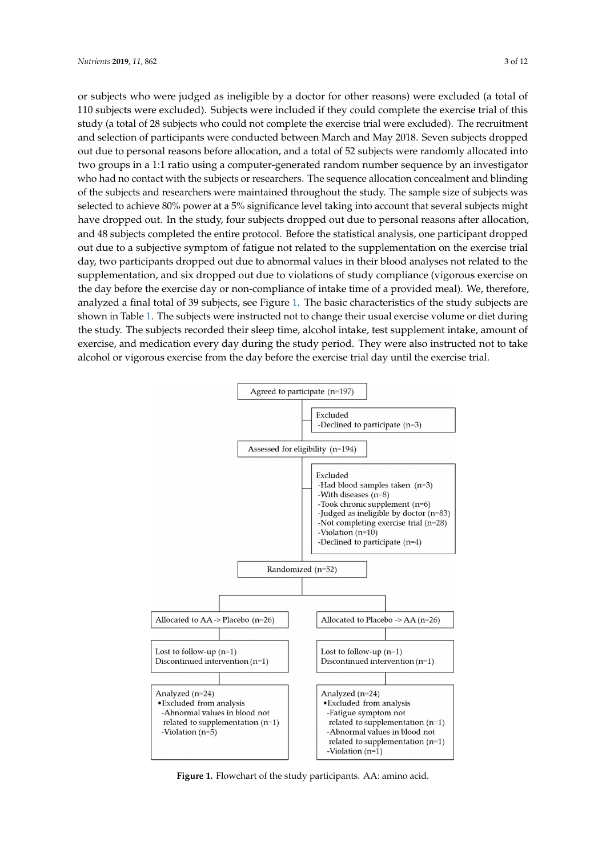or subjects who were judged as ineligible by a doctor for other reasons) were excluded (a total of 110 subjects were excluded). Subjects were included if they could complete the exercise trial of this study (a total of 28 subjects who could not complete the exercise trial were excluded). The recruitment and selection of participants were conducted between March and May 2018. Seven subjects dropped not due to personal reasons before allocation, and a total of 52 subjects were randomly allocated into our change of the exercise trial were exercise to personal reasons before allocation, and a total of 52 subjects were r two groups in a 1:1 ratio using a computer-generated random number sequence by an investigator who had no contact with the subjects or researchers. The sequence allocation concealment and blinding of the subjects and researchers were maintained throughout the study. The sample size of subjects was selected to achieve 80% power at a 5% significance level taking into account that several subjects might have dropped out. In the study, four subjects dropped out due to personal reasons after allocation, and 48 subjects completed the entire protocol. Before the statistical analysis, one participant dropped out due to a subjective symptom of fatigue not related to the supplementation on the exercise trial day, two participants dropped out due to abnormal values in their blood analyses not related to the exay, the participants dropped out due to deficitival values in their blood analyses not related to the<br>supplementation, and six dropped out due to violations of study compliance (vigorous exercise on the day before the exercise day or non-compliance of intake time of a provided meal). We, therefore, analyzed a final total of 39 subjects, see Figure [1.](#page-2-0) The basic characteristics of the study subjects are shown in Table 1. The subj[ect](#page-3-0)s were instructed not to change their usual exercise volume or diet during the study. The subjects recorded their sleep time, alcohol intake, test supplement intake, amount of exercise, and medication every day during the study period. They were also instructed not to take alcohol or vigorous exercise from the day before the exercise trial day until the exercise trial. selection of personal reasons before anotation, and a total or 52 subjects were randomly anotated not relation, and six dropped out due to violations of study compliance (vigorous excrets

<span id="page-2-0"></span>

**Figure 1.** Flowchart of the study participants. AA: amino acid. **Figure 1.** Flowchart of the study participants. AA: amino acid.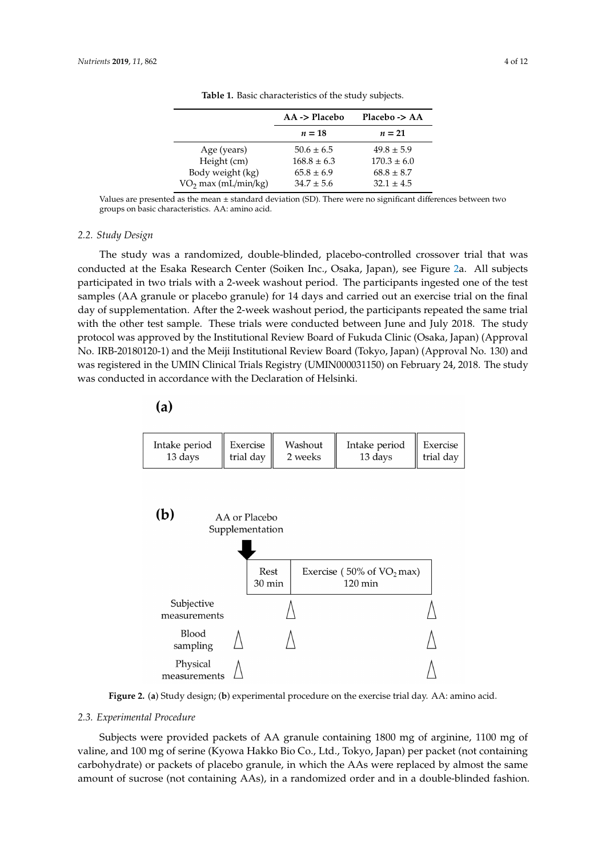<span id="page-3-0"></span>

|                       | $AA \rightarrow$ Placebo | Placebo -> AA   |
|-----------------------|--------------------------|-----------------|
|                       | $n=18$                   | $n=21$          |
| Age (years)           | $50.6 \pm 6.5$           | $49.8 \pm 5.9$  |
| Height (cm)           | $168.8 \pm 6.3$          | $170.3 \pm 6.0$ |
| Body weight (kg)      | $65.8 \pm 6.9$           | $68.8 \pm 8.7$  |
| $VO2$ max (mL/min/kg) | $34.7 \pm 5.6$           | $32.1 \pm 4.5$  |

**Table 1.** Basic characteristics of the study subjects.

Values are presented as the mean ± standard deviation (SD). There were no significant differences between two groups on basic characteristics. AA: amino acid.  $\epsilon$  mean  $\pm$  standard deviation (SD). There were no significar

## 2.2. Study Design

The study was a randomized, double-blinded, placebo-controlled crossover trial that was *2.2. Study Design*  conducted at the Esaka Research Center (Soiken Inc., Osaka, Japan), see Figure [2a](#page-3-1). All subjects participated in two trials with a 2-week washout period. The participants ingested one of the test samples (AA granule or placebo granule) for 14 days and carried out an exercise trial on the final day of supplementation. After the 2-week washout period, the participants repeated the same trial with the other test sample. These trials were conducted between June and July 2018. The study protocol was approved by the Institutional Review Board of Fukuda Clinic (Osaka, Japan) (Approval No. IRB-20180120-1) and the Meiji Institutional Review Board (Tokyo, Japan) (Approval No. 130) and was registered in the UMIN Clinical Trials Registry (UMIN000031150) on February 24, 2018. The study registered in the UMIN Clinical Trials Registry (UMIN000031150) on February 24, 2018. The study was conducted in accordance with the Declaration of Helsinki. was conducted in accordance with the Declaration of Helsinki. col was approved by the Institutional Review Board of Fukuda Clinic (Osaka, Japan) (

<span id="page-3-1"></span> $(a)$ 



**Figure 2. (a)** Study design; (b) experimental procedure on the exercise trial day. AA: amino acid.

# *2.3. Experimental Procedure 2.3. Experimental Procedure*

Subjects were provided packets of AA granule containing 1800 mg of arginine, 1100 mg of valine, and 100 mg of serine (Kyowa Hakko Bio Co., Ltd., Tokyo, Japan) per packet (not containing carbohydrate) or packets of placebo granule, in which the AAs were replaced by almost the same amount of sucrose (not containing AAs), in a randomized order and in a double-blinded fashion.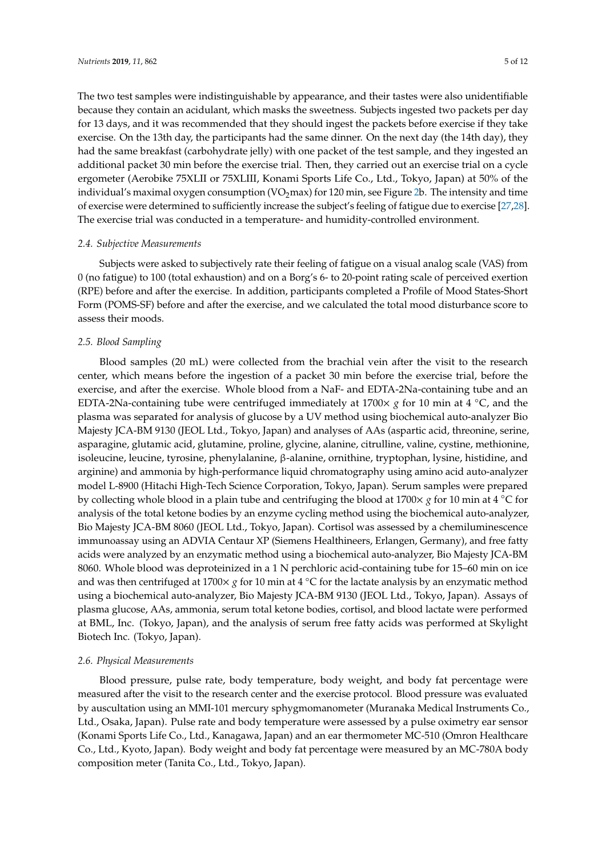The two test samples were indistinguishable by appearance, and their tastes were also unidentifiable because they contain an acidulant, which masks the sweetness. Subjects ingested two packets per day for 13 days, and it was recommended that they should ingest the packets before exercise if they take exercise. On the 13th day, the participants had the same dinner. On the next day (the 14th day), they had the same breakfast (carbohydrate jelly) with one packet of the test sample, and they ingested an additional packet 30 min before the exercise trial. Then, they carried out an exercise trial on a cycle ergometer (Aerobike 75XLII or 75XLIII, Konami Sports Life Co., Ltd., Tokyo, Japan) at 50% of the individual's maximal oxygen consumption (VO<sub>2</sub>max) for 120 min, see Figure [2b](#page-3-1). The intensity and time of exercise were determined to sufficiently increase the subject's feeling of fatigue due to exercise [\[27](#page-11-4)[,28\]](#page-11-5). The exercise trial was conducted in a temperature- and humidity-controlled environment.

#### *2.4. Subjective Measurements*

Subjects were asked to subjectively rate their feeling of fatigue on a visual analog scale (VAS) from 0 (no fatigue) to 100 (total exhaustion) and on a Borg's 6- to 20-point rating scale of perceived exertion (RPE) before and after the exercise. In addition, participants completed a Profile of Mood States-Short Form (POMS-SF) before and after the exercise, and we calculated the total mood disturbance score to assess their moods.

## *2.5. Blood Sampling*

Blood samples (20 mL) were collected from the brachial vein after the visit to the research center, which means before the ingestion of a packet 30 min before the exercise trial, before the exercise, and after the exercise. Whole blood from a NaF- and EDTA-2Na-containing tube and an EDTA-2Na-containing tube were centrifuged immediately at 1700× *g* for 10 min at 4 ◦C, and the plasma was separated for analysis of glucose by a UV method using biochemical auto-analyzer Bio Majesty JCA-BM 9130 (JEOL Ltd., Tokyo, Japan) and analyses of AAs (aspartic acid, threonine, serine, asparagine, glutamic acid, glutamine, proline, glycine, alanine, citrulline, valine, cystine, methionine, isoleucine, leucine, tyrosine, phenylalanine, β-alanine, ornithine, tryptophan, lysine, histidine, and arginine) and ammonia by high-performance liquid chromatography using amino acid auto-analyzer model L-8900 (Hitachi High-Tech Science Corporation, Tokyo, Japan). Serum samples were prepared by collecting whole blood in a plain tube and centrifuging the blood at 1700× *g* for 10 min at 4 ◦C for analysis of the total ketone bodies by an enzyme cycling method using the biochemical auto-analyzer, Bio Majesty JCA-BM 8060 (JEOL Ltd., Tokyo, Japan). Cortisol was assessed by a chemiluminescence immunoassay using an ADVIA Centaur XP (Siemens Healthineers, Erlangen, Germany), and free fatty acids were analyzed by an enzymatic method using a biochemical auto-analyzer, Bio Majesty JCA-BM 8060. Whole blood was deproteinized in a 1 N perchloric acid-containing tube for 15–60 min on ice and was then centrifuged at 1700 $\times$  *g* for 10 min at 4  $\degree$ C for the lactate analysis by an enzymatic method using a biochemical auto-analyzer, Bio Majesty JCA-BM 9130 (JEOL Ltd., Tokyo, Japan). Assays of plasma glucose, AAs, ammonia, serum total ketone bodies, cortisol, and blood lactate were performed at BML, Inc. (Tokyo, Japan), and the analysis of serum free fatty acids was performed at Skylight Biotech Inc. (Tokyo, Japan).

## *2.6. Physical Measurements*

Blood pressure, pulse rate, body temperature, body weight, and body fat percentage were measured after the visit to the research center and the exercise protocol. Blood pressure was evaluated by auscultation using an MMI-101 mercury sphygmomanometer (Muranaka Medical Instruments Co., Ltd., Osaka, Japan). Pulse rate and body temperature were assessed by a pulse oximetry ear sensor (Konami Sports Life Co., Ltd., Kanagawa, Japan) and an ear thermometer MC-510 (Omron Healthcare Co., Ltd., Kyoto, Japan). Body weight and body fat percentage were measured by an MC-780A body composition meter (Tanita Co., Ltd., Tokyo, Japan).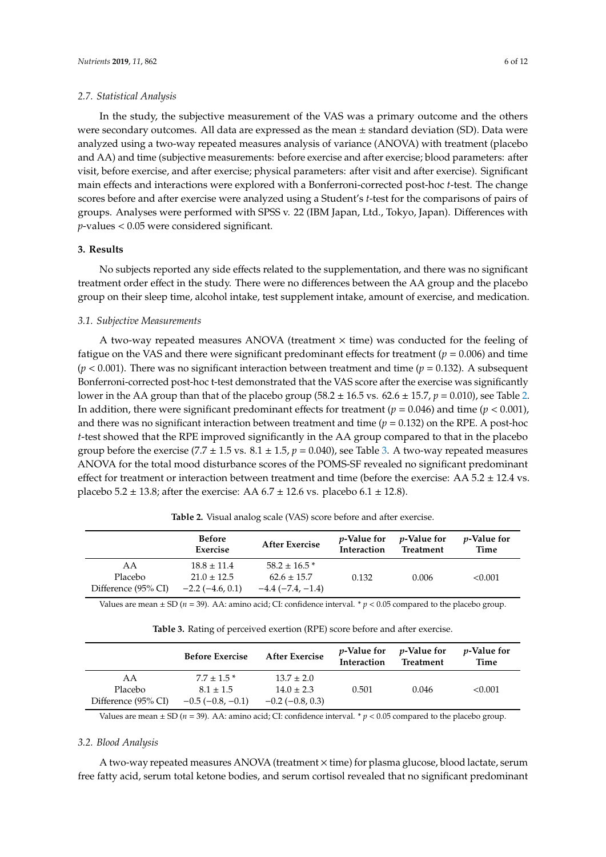In the study, the subjective measurement of the VAS was a primary outcome and the others were secondary outcomes. All data are expressed as the mean ± standard deviation (SD). Data were analyzed using a two-way repeated measures analysis of variance (ANOVA) with treatment (placebo and AA) and time (subjective measurements: before exercise and after exercise; blood parameters: after visit, before exercise, and after exercise; physical parameters: after visit and after exercise). Significant main effects and interactions were explored with a Bonferroni-corrected post-hoc *t*-test. The change scores before and after exercise were analyzed using a Student's *t*-test for the comparisons of pairs of groups. Analyses were performed with SPSS v. 22 (IBM Japan, Ltd., Tokyo, Japan). Differences with *p*-values < 0.05 were considered significant.

### **3. Results**

No subjects reported any side effects related to the supplementation, and there was no significant treatment order effect in the study. There were no differences between the AA group and the placebo group on their sleep time, alcohol intake, test supplement intake, amount of exercise, and medication.

#### *3.1. Subjective Measurements*

A two-way repeated measures ANOVA (treatment × time) was conducted for the feeling of fatigue on the VAS and there were significant predominant effects for treatment ( $p = 0.006$ ) and time (*p* < 0.001). There was no significant interaction between treatment and time (*p* = 0.132). A subsequent Bonferroni-corrected post-hoc t-test demonstrated that the VAS score after the exercise was significantly lower in the AA group than that of the placebo group (58.2  $\pm$  16.5 vs. 6[2.](#page-5-0)6  $\pm$  15.7,  $p = 0.010$ ), see Table 2. In addition, there were significant predominant effects for treatment ( $p = 0.046$ ) and time ( $p < 0.001$ ), and there was no significant interaction between treatment and time ( $p = 0.132$ ) on the RPE. A post-hoc *t*-test showed that the RPE improved significantly in the AA group compared to that in the placebo group before the exercise (7.7  $\pm$  1.5 vs. 8.1  $\pm$  1.5,  $p = 0.040$ ), see Table [3.](#page-5-1) A two-way repeated measures ANOVA for the total mood disturbance scores of the POMS-SF revealed no significant predominant effect for treatment or interaction between treatment and time (before the exercise: AA  $5.2 \pm 12.4$  vs. placebo 5.2  $\pm$  13.8; after the exercise: AA 6.7  $\pm$  12.6 vs. placebo 6.1  $\pm$  12.8).

<span id="page-5-0"></span>

|                     | <b>Before</b><br>Exercise | <b>After Exercise</b> | <i>v</i> -Value for<br><b>Interaction</b> | <i>v</i> -Value for<br><b>Treatment</b> | <i>p</i> -Value for<br>Time |
|---------------------|---------------------------|-----------------------|-------------------------------------------|-----------------------------------------|-----------------------------|
| AA                  | $18.8 \pm 11.4$           | $58.2 \pm 16.5$ *     |                                           |                                         |                             |
| Placebo             | $21.0 \pm 12.5$           | $62.6 \pm 15.7$       | 0.132                                     | 0.006                                   | < 0.001                     |
| Difference (95% CI) | $-2.2(-4.6, 0.1)$         | $-4.4(-7.4,-1.4)$     |                                           |                                         |                             |

**Table 2.** Visual analog scale (VAS) score before and after exercise.

<span id="page-5-1"></span>Values are mean ± SD (*n* = 39). AA: amino acid; CI: confidence interval. \* *p* < 0.05 compared to the placebo group.

|                     | <b>Before Exercise</b>     | <b>After Exercise</b>  | <i>v</i> -Value for<br><b>Interaction</b> | <i>v</i> -Value for<br><b>Treatment</b> | <i>p</i> -Value for<br>Time |
|---------------------|----------------------------|------------------------|-------------------------------------------|-----------------------------------------|-----------------------------|
| AA                  | $7.7 \pm 1.5*$             | $13.7 \pm 2.0$         |                                           |                                         |                             |
| Placebo             | $8.1 \pm 1.5$              | $14.0 \pm 2.3$         | 0.501                                     | 0.046                                   | < 0.001                     |
| Difference (95% CI) | $-0.5$ ( $-0.8$ , $-0.1$ ) | $-0.2$ ( $-0.8$ , 0.3) |                                           |                                         |                             |

Values are mean  $\pm$  SD ( $n = 39$ ). AA: amino acid; CI: confidence interval. \*  $p < 0.05$  compared to the placebo group.

#### *3.2. Blood Analysis*

A two-way repeated measures ANOVA (treatment × time) for plasma glucose, blood lactate, serum free fatty acid, serum total ketone bodies, and serum cortisol revealed that no significant predominant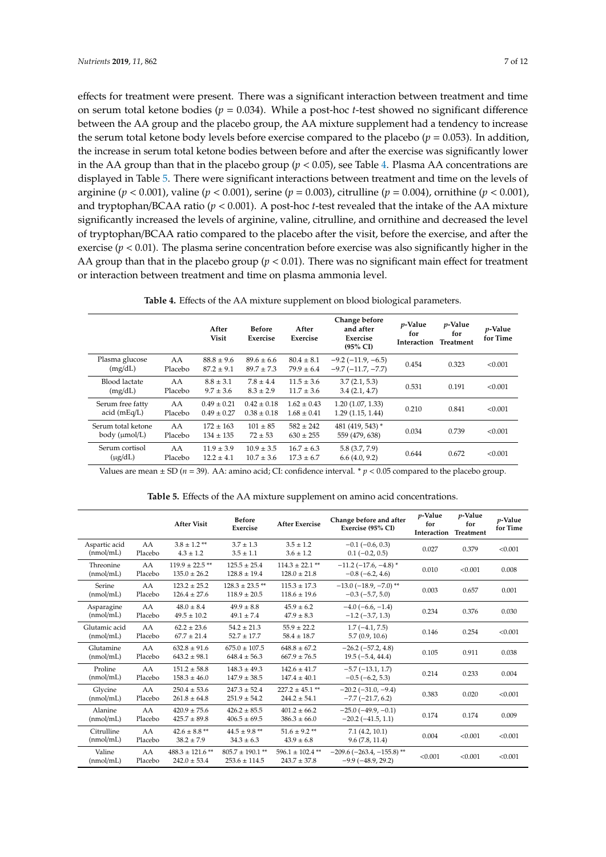effects for treatment were present. There was a significant interaction between treatment and time on serum total ketone bodies (*p* = 0.034). While a post-hoc *t*-test showed no significant difference between the AA group and the placebo group, the AA mixture supplement had a tendency to increase the serum total ketone body levels before exercise compared to the placebo ( $p = 0.053$ ). In addition, the increase in serum total ketone bodies between before and after the exercise was significantly lower in the AA group than that in the placebo group  $(p < 0.05)$ , see Table [4.](#page-6-0) Plasma AA concentrations are displayed in Table [5.](#page-7-0) There were significant interactions between treatment and time on the levels of arginine (*p* < 0.001), valine (*p* < 0.001), serine (*p* = 0.003), citrulline (*p* = 0.004), ornithine (*p* < 0.001), and tryptophan/BCAA ratio ( $p < 0.001$ ). A post-hoc *t*-test revealed that the intake of the AA mixture significantly increased the levels of arginine, valine, citrulline, and ornithine and decreased the level of tryptophan/BCAA ratio compared to the placebo after the visit, before the exercise, and after the exercise ( $p < 0.01$ ). The plasma serine concentration before exercise was also significantly higher in the AA group than that in the placebo group ( $p < 0.01$ ). There was no significant main effect for treatment or interaction between treatment and time on plasma ammonia level.

| Table 4. Effects of the AA mixture supplement on blood biological parameters. |  |  |  |
|-------------------------------------------------------------------------------|--|--|--|
|-------------------------------------------------------------------------------|--|--|--|

<span id="page-6-0"></span>

|                                     |               | After<br><b>Visit</b>            | <b>Before</b><br>Exercise        | After<br>Exercise                | Change before<br>and after<br>Exercise<br>$(95\% \text{ CI})$ | <i>p</i> -Value<br>for<br><b>Interaction</b> | <i>p</i> -Value<br>for<br>Treatment | <i>p</i> -Value<br>for Time |
|-------------------------------------|---------------|----------------------------------|----------------------------------|----------------------------------|---------------------------------------------------------------|----------------------------------------------|-------------------------------------|-----------------------------|
| Plasma glucose<br>(mg/dL)           | AA<br>Placebo | $88.8 + 9.6$<br>$87.2 \pm 9.1$   | $89.6 \pm 6.6$<br>$89.7 \pm 7.3$ | $80.4 \pm 8.1$<br>$79.9 \pm 6.4$ | $-9.2$ ( $-11.9$ , $-6.5$ )<br>$-9.7(-11.7, -7.7)$            | 0.454                                        | 0.323                               | < 0.001                     |
| Blood lactate<br>(mg/dL)            | AA<br>Placebo | $8.8 \pm 3.1$<br>$9.7 + 3.6$     | $7.8 \pm 4.4$<br>$8.3 \pm 2.9$   | $11.5 \pm 3.6$<br>$11.7 + 3.6$   | 3.7(2.1, 5.3)<br>3.4(2.1, 4.7)                                | 0.531                                        | 0.191                               | < 0.001                     |
| Serum free fatty<br>acid(mEq/L)     | AA<br>Placebo | $0.49 + 0.21$<br>$0.49 \pm 0.27$ | $0.42 + 0.18$<br>$0.38 \pm 0.18$ | $1.62 + 0.43$<br>$1.68 \pm 0.41$ | 1.20(1.07, 1.33)<br>1.29(1.15, 1.44)                          | 0.210                                        | 0.841                               | < 0.001                     |
| Serum total ketone<br>body (µmol/L) | AA<br>Placebo | $172 \pm 163$<br>$134 \pm 135$   | $101 \pm 85$<br>$72 \pm 53$      | $582 \pm 242$<br>$630 \pm 255$   | 481 (419, 543) *<br>559 (479, 638)                            | 0.034                                        | 0.739                               | < 0.001                     |
| Serum cortisol<br>$(\mu g/dL)$      | AA<br>Placebo | $11.9 + 3.9$<br>$12.2 \pm 4.1$   | $10.9 \pm 3.5$<br>$10.7 \pm 3.6$ | $16.7 \pm 6.3$<br>$17.3 \pm 6.7$ | 5.8(3.7, 7.9)<br>6.6(4.0, 9.2)                                | 0.644                                        | 0.672                               | < 0.001                     |

Values are mean ± SD (*n* = 39). AA: amino acid; CI: confidence interval. \* *p* < 0.05 compared to the placebo group.

|                            |               | <b>After Visit</b>                       | <b>Before</b><br>Exercise                 | <b>After Exercise</b>                    | Change before and after<br>Exercise (95% CI)                        | $p$ -Value<br>for<br><b>Interaction</b> | $p$ -Value<br>for<br>Treatment | p-Value<br>for Time |
|----------------------------|---------------|------------------------------------------|-------------------------------------------|------------------------------------------|---------------------------------------------------------------------|-----------------------------------------|--------------------------------|---------------------|
| Aspartic acid<br>(mmol/mL) | AA<br>Placebo | $3.8 \pm 1.2$ **<br>$4.3 \pm 1.2$        | $3.7 \pm 1.3$<br>$3.5 \pm 1.1$            | $3.5 \pm 1.2$<br>$3.6 \pm 1.2$           | $-0.1$ ( $-0.6$ , 0.3)<br>$0.1$ (-0.2, 0.5)                         | 0.027                                   | 0.379                          | < 0.001             |
| Threonine<br>(mmol/mL)     | AA<br>Placebo | $119.9 \pm 22.5$ **<br>$135.0 \pm 26.2$  | $125.5 \pm 25.4$<br>$128.8 \pm 19.4$      | $114.3 \pm 22.1$ **<br>$128.0 \pm 21.8$  | $-11.2$ ( $-17.6$ , $-4.8$ ) <sup>*</sup><br>$-0.8$ ( $-6.2$ , 4.6) | 0.010                                   | < 0.001                        | 0.008               |
| Serine<br>(mmol/mL)        | AA<br>Placebo | $123.2 \pm 25.2$<br>$126.4 \pm 27.6$     | $128.3 \pm 23.5$ **<br>$118.9 \pm 20.5$   | $115.3 \pm 17.3$<br>$118.6 \pm 19.6$     | $-13.0$ ( $-18.9$ , $-7.0$ ) **<br>$-0.3(-5.7, 5.0)$                | 0.003                                   | 0.657                          | 0.001               |
| Asparagine<br>(mmol/mL)    | AA<br>Placebo | $48.0 \pm 8.4$<br>$49.5 \pm 10.2$        | $49.9 \pm 8.8$<br>$49.1 \pm 7.4$          | $45.9 \pm 6.2$<br>$47.9 \pm 8.3$         | $-4.0$ ( $-6.6$ , $-1.4$ )<br>$-1.2$ ( $-3.7, 1.3$ )                | 0.234                                   | 0.376                          | 0.030               |
| Glutamic acid<br>(mmol/mL) | AA<br>Placebo | $62.2 \pm 23.6$<br>$67.7 \pm 21.4$       | $54.2 + 21.3$<br>$52.7 \pm 17.7$          | $55.9 + 22.2$<br>$58.4 \pm 18.7$         | $1.7(-4.1, 7.5)$<br>5.7(0.9, 10.6)                                  | 0.146                                   | 0.254                          | < 0.001             |
| Glutamine<br>(mmol/mL)     | AA<br>Placebo | $632.8 \pm 91.6$<br>$643.2 \pm 98.1$     | $675.0 \pm 107.5$<br>$648.4 \pm 56.3$     | $648.8 \pm 67.2$<br>$667.9 \pm 76.5$     | $-26.2$ ( $-57.2$ , 4.8)<br>$19.5(-5.4, 44.4)$                      | 0.105                                   | 0.911                          | 0.038               |
| Proline<br>(mmol/mL)       | AA<br>Placebo | $151.2 \pm 58.8$<br>$158.3 \pm 46.0$     | $148.3 \pm 49.3$<br>$147.9 \pm 38.5$      | $142.6 \pm 41.7$<br>$147.4 \pm 40.1$     | $-5.7(-13.1, 1.7)$<br>$-0.5$ ( $-6.2$ , 5.3)                        | 0.214                                   | 0.233                          | 0.004               |
| Glycine<br>(mmol/mL)       | AA<br>Placebo | $250.4 \pm 53.6$<br>$261.8 \pm 64.8$     | $247.3 \pm 52.4$<br>$251.9 \pm 54.2$      | $227.2 \pm 45.1$ **<br>$244.2 \pm 54.1$  | $-20.2$ ( $-31.0$ , $-9.4$ )<br>$-7.7(-21.7, 6.2)$                  | 0.383                                   | 0.020                          | < 0.001             |
| Alanine<br>(mmol/mL)       | AA<br>Placebo | $420.9 \pm 75.6$<br>$425.7 \pm 89.8$     | $426.2 \pm 85.5$<br>$406.5 \pm 69.5$      | $401.2 \pm 66.2$<br>$386.3 \pm 66.0$     | $-25.0$ ( $-49.9$ , $-0.1$ )<br>$-20.2$ ( $-41.5$ , 1.1)            | 0.174                                   | 0.174                          | 0.009               |
| Citrulline<br>(mmol/mL)    | AA<br>Placebo | 42.6 $\pm$ 8.8 **<br>$38.2 \pm 7.9$      | $44.5 \pm 9.8$ **<br>$34.3 \pm 6.3$       | $51.6 \pm 9.2$ **<br>$43.9 \pm 6.8$      | 7.1(4.2, 10.1)<br>9.6(7.8, 11.4)                                    | 0.004                                   | < 0.001                        | < 0.001             |
| Valine<br>(mmol/mL)        | AA<br>Placebo | $488.3 \pm 121.6$ **<br>$242.0 \pm 53.4$ | $805.7 \pm 190.1$ **<br>$253.6 \pm 114.5$ | $596.1 \pm 102.4$ **<br>$243.7 \pm 37.8$ | $-209.6$ ( $-263.4$ , $-155.8$ ) **<br>$-9.9(-48.9, 29.2)$          | < 0.001                                 | < 0.001                        | < 0.001             |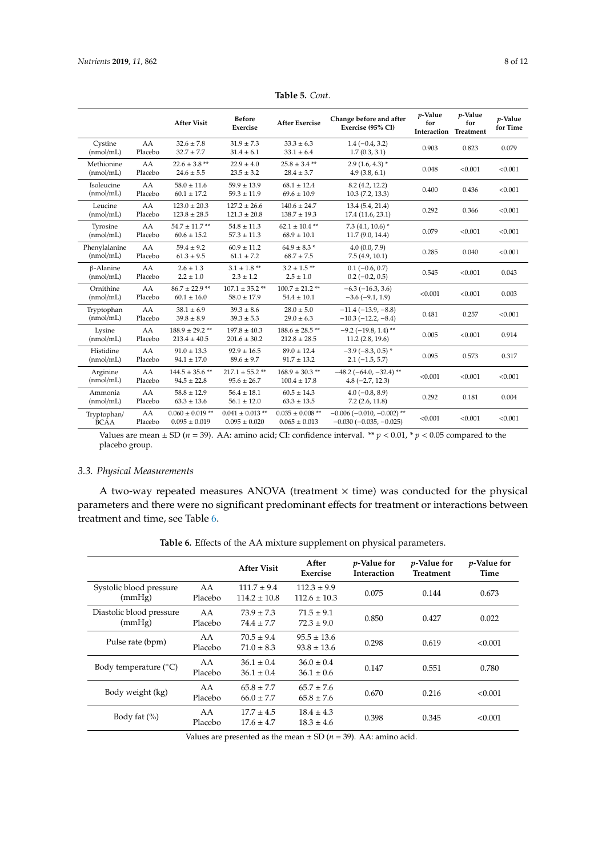<span id="page-7-0"></span>

|                               |               | <b>After Visit</b>                        | <b>Before</b><br>Exercise                 | <b>After Exercise</b>                     | Change before and after<br>Exercise (95% CI)                                       | $p$ -Value<br>for<br>Interaction | $p$ -Value<br>for<br>Treatment | p-Value<br>for Time |
|-------------------------------|---------------|-------------------------------------------|-------------------------------------------|-------------------------------------------|------------------------------------------------------------------------------------|----------------------------------|--------------------------------|---------------------|
| Cystine<br>(mmol/mL)          | AA<br>Placebo | $32.6 \pm 7.8$<br>$32.7 \pm 7.7$          | $31.9 \pm 7.3$<br>$31.4 \pm 6.1$          | $33.3 \pm 6.3$<br>$33.1 \pm 6.4$          | $1.4 (-0.4, 3.2)$<br>1.7(0.3, 3.1)                                                 | 0.903                            | 0.823                          | 0.079               |
| Methionine<br>(mmol/mL)       | AA<br>Placebo | $22.6 \pm 3.8$ **<br>$24.6 \pm 5.5$       | $22.9 \pm 4.0$<br>$23.5 \pm 3.2$          | $25.8 \pm 3.4$ **<br>$28.4 \pm 3.7$       | $2.9(1.6, 4.3)*$<br>4.9(3.8, 6.1)                                                  | 0.048                            | < 0.001                        | < 0.001             |
| Isoleucine<br>(mmol/mL)       | AA<br>Placebo | $58.0 \pm 11.6$<br>$60.1 \pm 17.2$        | $59.9 \pm 13.9$<br>$59.3 \pm 11.9$        | $68.1 \pm 12.4$<br>$69.6 \pm 10.9$        | 8.2 (4.2, 12.2)<br>10.3(7.2, 13.3)                                                 | 0.400                            | 0.436                          | < 0.001             |
| Leucine<br>(mmol/mL)          | AA<br>Placebo | $123.0 \pm 20.3$<br>$123.8 \pm 28.5$      | $127.2 \pm 26.6$<br>$121.3 \pm 20.8$      | $140.6 \pm 24.7$<br>$138.7\pm19.3$        | 13.4 (5.4, 21.4)<br>17.4 (11.6, 23.1)                                              | 0.292                            | 0.366                          | < 0.001             |
| Tyrosine<br>(mmol/mL)         | AA<br>Placebo | $54.7 \pm 11.7$ **<br>$60.6 \pm 15.2$     | $54.8 \pm 11.3$<br>$57.3 \pm 11.3$        | $62.1 \pm 10.4$ **<br>$68.9 \pm 10.1$     | $7.3(4.1, 10.6)$ *<br>11.7 (9.0, 14.4)                                             | 0.079                            | < 0.001                        | < 0.001             |
| Phenylalanine<br>(mmol/mL)    | AA<br>Placebo | $59.4 \pm 9.2$<br>$61.3 \pm 9.5$          | $60.9 \pm 11.2$<br>$61.1 \pm 7.2$         | $64.9 \pm 8.3$ *<br>$68.7 \pm 7.5$        | 4.0(0.0, 7.9)<br>7.5(4.9, 10.1)                                                    | 0.285                            | 0.040                          | < 0.001             |
| $\beta$ -Alanine<br>(mmol/mL) | AA<br>Placebo | $2.6 \pm 1.3$<br>$2.2 \pm 1.0$            | $3.1 \pm 1.8$ **<br>$2.3 \pm 1.2$         | $3.2 \pm 1.5$ **<br>$2.5 \pm 1.0$         | $0.1$ (-0.6, 0.7)<br>$0.2$ (-0.2, 0.5)                                             | 0.545                            | < 0.001                        | 0.043               |
| Ornithine<br>(mmol/mL)        | AA<br>Placebo | $86.7 \pm 22.9$ **<br>$60.1 \pm 16.0$     | $107.1 \pm 35.2$ **<br>$58.0 \pm 17.9$    | $100.7 \pm 21.2$ **<br>$54.4 \pm 10.1$    | $-6.3$ $(-16.3, 3.6)$<br>$-3.6(-9.1, 1.9)$                                         | < 0.001                          | < 0.001                        | 0.003               |
| Tryptophan<br>(mmol/mL)       | AA<br>Placebo | $38.1 \pm 6.9$<br>$39.8 \pm 8.9$          | $39.3 \pm 8.6$<br>$39.3 \pm 5.3$          | $28.0 \pm 5.0$<br>$29.0 \pm 6.3$          | $-11.4(-13.9, -8.8)$<br>$-10.3$ ( $-12.2, -8.4$ )                                  | 0.481                            | 0.257                          | < 0.001             |
| Lysine<br>(mmol/mL)           | AA<br>Placebo | $188.9 \pm 29.2$ **<br>$213.4 \pm 40.5$   | $197.8 \pm 40.3$<br>$201.6 \pm 30.2$      | $188.6 \pm 28.5$ **<br>$212.8 \pm 28.5$   | $-9.2$ ( $-19.8$ , 1.4) <sup>**</sup><br>11.2(2.8, 19.6)                           | 0.005                            | < 0.001                        | 0.914               |
| Histidine<br>(mmol/mL)        | AA<br>Placebo | $91.0 \pm 13.3$<br>$94.1 \pm 17.0$        | $92.9 \pm 16.5$<br>$89.6 \pm 9.7$         | $89.0 \pm 12.4$<br>$91.7 \pm 13.2$        | $-3.9(-8.3, 0.5)$ *<br>$2.1(-1.5, 5.7)$                                            | 0.095                            | 0.573                          | 0.317               |
| Arginine<br>(mmol/mL)         | AA<br>Placebo | $144.5 \pm 35.6$ **<br>$94.5 \pm 22.8$    | $217.1 \pm 55.2$ **<br>$95.6 \pm 26.7$    | $168.9 \pm 30.3$ **<br>$100.4 \pm 17.8$   | $-48.2$ ( $-64.0$ , $-32.4$ ) **<br>$4.8(-2.7, 12.3)$                              | < 0.001                          | < 0.001                        | < 0.001             |
| Ammonia<br>(mmol/mL)          | AA<br>Placebo | $58.8 \pm 12.9$<br>$63.3 \pm 13.6$        | $56.4 \pm 18.1$<br>$56.1 \pm 12.0$        | $60.5 \pm 14.3$<br>$63.3 \pm 13.5$        | $4.0(-0.8, 8.9)$<br>$7.2$ (2.6, 11.8)                                              | 0.292                            | 0.181                          | 0.004               |
| Tryptophan/<br><b>BCAA</b>    | AA<br>Placebo | $0.060 \pm 0.019$ **<br>$0.095 \pm 0.019$ | $0.041 \pm 0.013$ **<br>$0.095 \pm 0.020$ | $0.035 \pm 0.008$ **<br>$0.065 \pm 0.013$ | $-0.006$ ( $-0.010$ , $-0.002$ ) <sup>**</sup><br>$-0.030$ ( $-0.035$ , $-0.025$ ) | < 0.001                          | < 0.001                        | < 0.001             |

**Table 5.** *Cont.*

Values are mean  $\pm$  SD ( $n = 39$ ). AA: amino acid; CI: confidence interval. \*\*  $p < 0.01$ , \*  $p < 0.05$  compared to the placebo group.

# *3.3. Physical Measurements*

A two-way repeated measures ANOVA (treatment  $\times$  time) was conducted for the physical parameters and there were no significant predominant effects for treatment or interactions between treatment and time, see Table [6.](#page-7-1)

<span id="page-7-1"></span>

|                                    |               | After Visit                         | After<br>Exercise                   | <i>p</i> -Value for<br><b>Interaction</b> | <i>p</i> -Value for<br><b>Treatment</b> | <i>p</i> -Value for<br>Time |
|------------------------------------|---------------|-------------------------------------|-------------------------------------|-------------------------------------------|-----------------------------------------|-----------------------------|
| Systolic blood pressure<br>(mmHg)  | AA<br>Placebo | $111.7 \pm 9.4$<br>$114.2 \pm 10.8$ | $112.3 \pm 9.9$<br>$112.6 \pm 10.3$ | 0.075                                     | 0.144                                   | 0.673                       |
| Diastolic blood pressure<br>(mmHg) | AA<br>Placebo | $73.9 \pm 7.3$<br>$74.4 \pm 7.7$    | $71.5 \pm 9.1$<br>$72.3 \pm 9.0$    | 0.850                                     | 0.427                                   | 0.022                       |
| Pulse rate (bpm)                   | AA<br>Placebo | $70.5 \pm 9.4$<br>$71.0 \pm 8.3$    | $95.5 \pm 13.6$<br>$93.8 \pm 13.6$  | 0.298                                     | 0.619                                   | < 0.001                     |
| Body temperature $(^{\circ}C)$     | AA<br>Placebo | $36.1 \pm 0.4$<br>$36.1 \pm 0.4$    | $36.0 \pm 0.4$<br>$36.1 \pm 0.6$    | 0.147                                     | 0.551                                   | 0.780                       |
| Body weight (kg)                   | AA<br>Placebo | $65.8 \pm 7.7$<br>$66.0 \pm 7.7$    | $65.7 \pm 7.6$<br>$65.8 \pm 7.6$    | 0.670                                     | 0.216                                   | < 0.001                     |
| Body fat $(\% )$                   | AA<br>Placebo | $17.7 \pm 4.5$<br>$17.6 \pm 4.7$    | $18.4 \pm 4.3$<br>$18.3 \pm 4.6$    | 0.398                                     | 0.345                                   | < 0.001                     |

**Table 6.** Effects of the AA mixture supplement on physical parameters.

Values are presented as the mean  $\pm$  SD ( $n = 39$ ). AA: amino acid.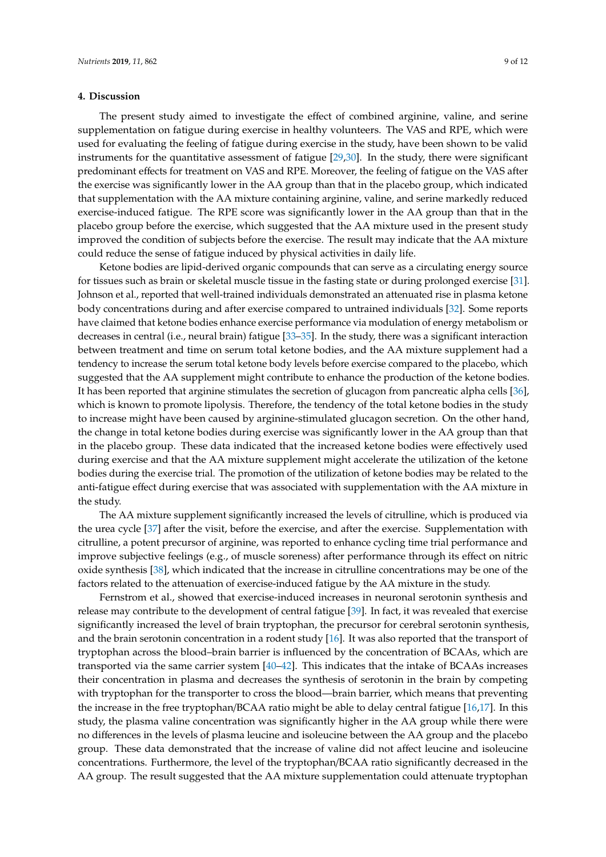### **4. Discussion**

The present study aimed to investigate the effect of combined arginine, valine, and serine supplementation on fatigue during exercise in healthy volunteers. The VAS and RPE, which were used for evaluating the feeling of fatigue during exercise in the study, have been shown to be valid instruments for the quantitative assessment of fatigue [\[29](#page-11-6)[,30\]](#page-11-7). In the study, there were significant predominant effects for treatment on VAS and RPE. Moreover, the feeling of fatigue on the VAS after the exercise was significantly lower in the AA group than that in the placebo group, which indicated that supplementation with the AA mixture containing arginine, valine, and serine markedly reduced exercise-induced fatigue. The RPE score was significantly lower in the AA group than that in the placebo group before the exercise, which suggested that the AA mixture used in the present study improved the condition of subjects before the exercise. The result may indicate that the AA mixture could reduce the sense of fatigue induced by physical activities in daily life.

Ketone bodies are lipid-derived organic compounds that can serve as a circulating energy source for tissues such as brain or skeletal muscle tissue in the fasting state or during prolonged exercise [\[31\]](#page-11-8). Johnson et al., reported that well-trained individuals demonstrated an attenuated rise in plasma ketone body concentrations during and after exercise compared to untrained individuals [\[32\]](#page-11-9). Some reports have claimed that ketone bodies enhance exercise performance via modulation of energy metabolism or decreases in central (i.e., neural brain) fatigue [\[33–](#page-11-10)[35\]](#page-11-11). In the study, there was a significant interaction between treatment and time on serum total ketone bodies, and the AA mixture supplement had a tendency to increase the serum total ketone body levels before exercise compared to the placebo, which suggested that the AA supplement might contribute to enhance the production of the ketone bodies. It has been reported that arginine stimulates the secretion of glucagon from pancreatic alpha cells [\[36\]](#page-11-12), which is known to promote lipolysis. Therefore, the tendency of the total ketone bodies in the study to increase might have been caused by arginine-stimulated glucagon secretion. On the other hand, the change in total ketone bodies during exercise was significantly lower in the AA group than that in the placebo group. These data indicated that the increased ketone bodies were effectively used during exercise and that the AA mixture supplement might accelerate the utilization of the ketone bodies during the exercise trial. The promotion of the utilization of ketone bodies may be related to the anti-fatigue effect during exercise that was associated with supplementation with the AA mixture in the study.

The AA mixture supplement significantly increased the levels of citrulline, which is produced via the urea cycle [\[37\]](#page-11-13) after the visit, before the exercise, and after the exercise. Supplementation with citrulline, a potent precursor of arginine, was reported to enhance cycling time trial performance and improve subjective feelings (e.g., of muscle soreness) after performance through its effect on nitric oxide synthesis [\[38\]](#page-11-14), which indicated that the increase in citrulline concentrations may be one of the factors related to the attenuation of exercise-induced fatigue by the AA mixture in the study.

Fernstrom et al., showed that exercise-induced increases in neuronal serotonin synthesis and release may contribute to the development of central fatigue [\[39\]](#page-11-15). In fact, it was revealed that exercise significantly increased the level of brain tryptophan, the precursor for cerebral serotonin synthesis, and the brain serotonin concentration in a rodent study [\[16\]](#page-10-14). It was also reported that the transport of tryptophan across the blood–brain barrier is influenced by the concentration of BCAAs, which are transported via the same carrier system [\[40–](#page-11-16)[42\]](#page-11-17). This indicates that the intake of BCAAs increases their concentration in plasma and decreases the synthesis of serotonin in the brain by competing with tryptophan for the transporter to cross the blood—brain barrier, which means that preventing the increase in the free tryptophan/BCAA ratio might be able to delay central fatigue [\[16,](#page-10-14)[17\]](#page-10-15). In this study, the plasma valine concentration was significantly higher in the AA group while there were no differences in the levels of plasma leucine and isoleucine between the AA group and the placebo group. These data demonstrated that the increase of valine did not affect leucine and isoleucine concentrations. Furthermore, the level of the tryptophan/BCAA ratio significantly decreased in the AA group. The result suggested that the AA mixture supplementation could attenuate tryptophan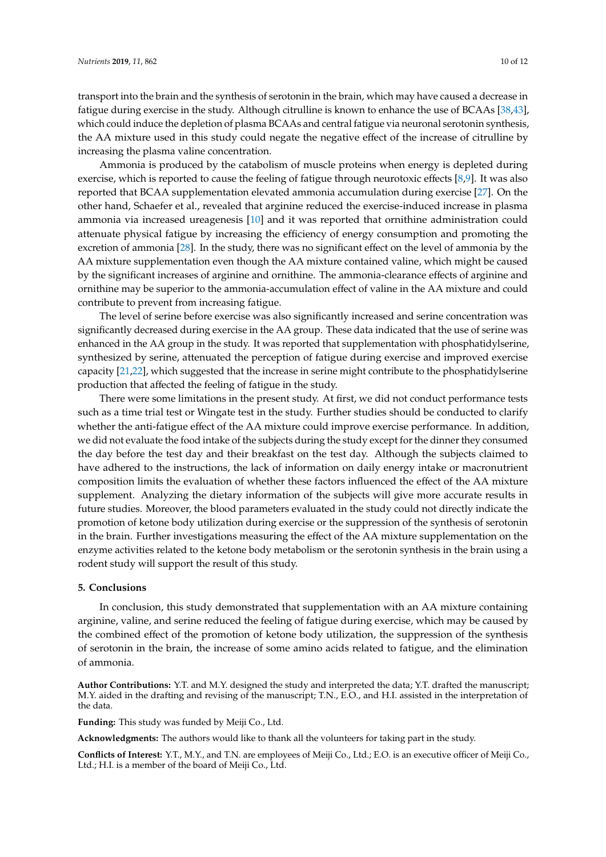transport into the brain and the synthesis of serotonin in the brain, which may have caused a decrease in fatigue during exercise in the study. Although citrulline is known to enhance the use of BCAAs [\[38](#page-11-14)[,43\]](#page-11-18), which could induce the depletion of plasma BCAAs and central fatigue via neuronal serotonin synthesis, the AA mixture used in this study could negate the negative effect of the increase of citrulline by increasing the plasma valine concentration.

Ammonia is produced by the catabolism of muscle proteins when energy is depleted during exercise, which is reported to cause the feeling of fatigue through neurotoxic effects [\[8,](#page-10-7)[9\]](#page-10-8). It was also reported that BCAA supplementation elevated ammonia accumulation during exercise [\[27\]](#page-11-4). On the other hand, Schaefer et al., revealed that arginine reduced the exercise-induced increase in plasma ammonia via increased ureagenesis [\[10\]](#page-10-9) and it was reported that ornithine administration could attenuate physical fatigue by increasing the efficiency of energy consumption and promoting the excretion of ammonia [\[28\]](#page-11-5). In the study, there was no significant effect on the level of ammonia by the AA mixture supplementation even though the AA mixture contained valine, which might be caused by the significant increases of arginine and ornithine. The ammonia-clearance effects of arginine and ornithine may be superior to the ammonia-accumulation effect of valine in the AA mixture and could contribute to prevent from increasing fatigue.

The level of serine before exercise was also significantly increased and serine concentration was significantly decreased during exercise in the AA group. These data indicated that the use of serine was enhanced in the AA group in the study. It was reported that supplementation with phosphatidylserine, synthesized by serine, attenuated the perception of fatigue during exercise and improved exercise capacity [\[21,](#page-10-19)[22\]](#page-10-20), which suggested that the increase in serine might contribute to the phosphatidylserine production that affected the feeling of fatigue in the study.

There were some limitations in the present study. At first, we did not conduct performance tests such as a time trial test or Wingate test in the study. Further studies should be conducted to clarify whether the anti-fatigue effect of the AA mixture could improve exercise performance. In addition, we did not evaluate the food intake of the subjects during the study except for the dinner they consumed the day before the test day and their breakfast on the test day. Although the subjects claimed to have adhered to the instructions, the lack of information on daily energy intake or macronutrient composition limits the evaluation of whether these factors influenced the effect of the AA mixture supplement. Analyzing the dietary information of the subjects will give more accurate results in future studies. Moreover, the blood parameters evaluated in the study could not directly indicate the promotion of ketone body utilization during exercise or the suppression of the synthesis of serotonin in the brain. Further investigations measuring the effect of the AA mixture supplementation on the enzyme activities related to the ketone body metabolism or the serotonin synthesis in the brain using a rodent study will support the result of this study.

#### **5. Conclusions**

In conclusion, this study demonstrated that supplementation with an AA mixture containing arginine, valine, and serine reduced the feeling of fatigue during exercise, which may be caused by the combined effect of the promotion of ketone body utilization, the suppression of the synthesis of serotonin in the brain, the increase of some amino acids related to fatigue, and the elimination of ammonia.

**Author Contributions:** Y.T. and M.Y. designed the study and interpreted the data; Y.T. drafted the manuscript; M.Y. aided in the drafting and revising of the manuscript; T.N., E.O., and H.I. assisted in the interpretation of the data.

**Funding:** This study was funded by Meiji Co., Ltd.

**Acknowledgments:** The authors would like to thank all the volunteers for taking part in the study.

**Conflicts of Interest:** Y.T., M.Y., and T.N. are employees of Meiji Co., Ltd.; E.O. is an executive officer of Meiji Co., Ltd.; H.I. is a member of the board of Meiji Co., Ltd.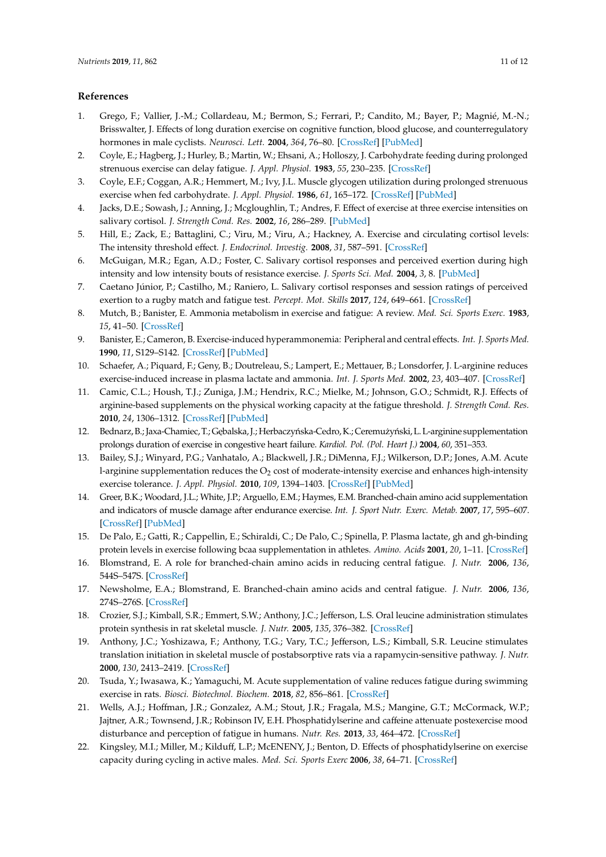# **References**

- <span id="page-10-0"></span>1. Grego, F.; Vallier, J.-M.; Collardeau, M.; Bermon, S.; Ferrari, P.; Candito, M.; Bayer, P.; Magnié, M.-N.; Brisswalter, J. Effects of long duration exercise on cognitive function, blood glucose, and counterregulatory hormones in male cyclists. *Neurosci. Lett.* **2004**, *364*, 76–80. [\[CrossRef\]](http://dx.doi.org/10.1016/j.neulet.2004.03.085) [\[PubMed\]](http://www.ncbi.nlm.nih.gov/pubmed/15196681)
- <span id="page-10-1"></span>2. Coyle, E.; Hagberg, J.; Hurley, B.; Martin, W.; Ehsani, A.; Holloszy, J. Carbohydrate feeding during prolonged strenuous exercise can delay fatigue. *J. Appl. Physiol.* **1983**, *55*, 230–235. [\[CrossRef\]](http://dx.doi.org/10.1152/jappl.1983.55.1.230)
- <span id="page-10-2"></span>3. Coyle, E.F.; Coggan, A.R.; Hemmert, M.; Ivy, J.L. Muscle glycogen utilization during prolonged strenuous exercise when fed carbohydrate. *J. Appl. Physiol.* **1986**, *61*, 165–172. [\[CrossRef\]](http://dx.doi.org/10.1152/jappl.1986.61.1.165) [\[PubMed\]](http://www.ncbi.nlm.nih.gov/pubmed/3525502)
- <span id="page-10-3"></span>4. Jacks, D.E.; Sowash, J.; Anning, J.; Mcgloughlin, T.; Andres, F. Effect of exercise at three exercise intensities on salivary cortisol. *J. Strength Cond. Res.* **2002**, *16*, 286–289. [\[PubMed\]](http://www.ncbi.nlm.nih.gov/pubmed/11991783)
- <span id="page-10-4"></span>5. Hill, E.; Zack, E.; Battaglini, C.; Viru, M.; Viru, A.; Hackney, A. Exercise and circulating cortisol levels: The intensity threshold effect. *J. Endocrinol. Investig.* **2008**, *31*, 587–591. [\[CrossRef\]](http://dx.doi.org/10.1007/BF03345606)
- <span id="page-10-5"></span>6. McGuigan, M.R.; Egan, A.D.; Foster, C. Salivary cortisol responses and perceived exertion during high intensity and low intensity bouts of resistance exercise. *J. Sports Sci. Med.* **2004**, *3*, 8. [\[PubMed\]](http://www.ncbi.nlm.nih.gov/pubmed/24497815)
- <span id="page-10-6"></span>7. Caetano Júnior, P.; Castilho, M.; Raniero, L. Salivary cortisol responses and session ratings of perceived exertion to a rugby match and fatigue test. *Percept. Mot. Skills* **2017**, *124*, 649–661. [\[CrossRef\]](http://dx.doi.org/10.1177/0031512517704340)
- <span id="page-10-7"></span>8. Mutch, B.; Banister, E. Ammonia metabolism in exercise and fatigue: A review. *Med. Sci. Sports Exerc.* **1983**, *15*, 41–50. [\[CrossRef\]](http://dx.doi.org/10.1249/00005768-198315010-00009)
- <span id="page-10-8"></span>9. Banister, E.; Cameron, B. Exercise-induced hyperammonemia: Peripheral and central effects. *Int. J. Sports Med.* **1990**, *11*, S129–S142. [\[CrossRef\]](http://dx.doi.org/10.1055/s-2007-1024864) [\[PubMed\]](http://www.ncbi.nlm.nih.gov/pubmed/2193891)
- <span id="page-10-9"></span>10. Schaefer, A.; Piquard, F.; Geny, B.; Doutreleau, S.; Lampert, E.; Mettauer, B.; Lonsdorfer, J. L-arginine reduces exercise-induced increase in plasma lactate and ammonia. *Int. J. Sports Med.* **2002**, *23*, 403–407. [\[CrossRef\]](http://dx.doi.org/10.1055/s-2002-33743)
- <span id="page-10-10"></span>11. Camic, C.L.; Housh, T.J.; Zuniga, J.M.; Hendrix, R.C.; Mielke, M.; Johnson, G.O.; Schmidt, R.J. Effects of arginine-based supplements on the physical working capacity at the fatigue threshold. *J. Strength Cond. Res.* **2010**, *24*, 1306–1312. [\[CrossRef\]](http://dx.doi.org/10.1519/JSC.0b013e3181d68816) [\[PubMed\]](http://www.ncbi.nlm.nih.gov/pubmed/20386475)
- 12. Bednarz, B.; Jaxa-Chamiec, T.; Gebalska, J.; Herbaczyńska-Cedro, K.; Ceremużyński, L. L-arginine supplementation prolongs duration of exercise in congestive heart failure. *Kardiol. Pol. (Pol. Heart J.)* **2004**, *60*, 351–353.
- <span id="page-10-11"></span>13. Bailey, S.J.; Winyard, P.G.; Vanhatalo, A.; Blackwell, J.R.; DiMenna, F.J.; Wilkerson, D.P.; Jones, A.M. Acute l-arginine supplementation reduces the  $O<sub>2</sub>$  cost of moderate-intensity exercise and enhances high-intensity exercise tolerance. *J. Appl. Physiol.* **2010**, *109*, 1394–1403. [\[CrossRef\]](http://dx.doi.org/10.1152/japplphysiol.00503.2010) [\[PubMed\]](http://www.ncbi.nlm.nih.gov/pubmed/20724562)
- <span id="page-10-12"></span>14. Greer, B.K.; Woodard, J.L.; White, J.P.; Arguello, E.M.; Haymes, E.M. Branched-chain amino acid supplementation and indicators of muscle damage after endurance exercise. *Int. J. Sport Nutr. Exerc. Metab.* **2007**, *17*, 595–607. [\[CrossRef\]](http://dx.doi.org/10.1123/ijsnem.17.6.595) [\[PubMed\]](http://www.ncbi.nlm.nih.gov/pubmed/18156664)
- <span id="page-10-13"></span>15. De Palo, E.; Gatti, R.; Cappellin, E.; Schiraldi, C.; De Palo, C.; Spinella, P. Plasma lactate, gh and gh-binding protein levels in exercise following bcaa supplementation in athletes. *Amino. Acids* **2001**, *20*, 1–11. [\[CrossRef\]](http://dx.doi.org/10.1007/s007260170061)
- <span id="page-10-14"></span>16. Blomstrand, E. A role for branched-chain amino acids in reducing central fatigue. *J. Nutr.* **2006**, *136*, 544S–547S. [\[CrossRef\]](http://dx.doi.org/10.1093/jn/136.2.544S)
- <span id="page-10-15"></span>17. Newsholme, E.A.; Blomstrand, E. Branched-chain amino acids and central fatigue. *J. Nutr.* **2006**, *136*, 274S–276S. [\[CrossRef\]](http://dx.doi.org/10.1093/jn/136.1.274S)
- <span id="page-10-16"></span>18. Crozier, S.J.; Kimball, S.R.; Emmert, S.W.; Anthony, J.C.; Jefferson, L.S. Oral leucine administration stimulates protein synthesis in rat skeletal muscle. *J. Nutr.* **2005**, *135*, 376–382. [\[CrossRef\]](http://dx.doi.org/10.1093/jn/135.3.376)
- <span id="page-10-17"></span>19. Anthony, J.C.; Yoshizawa, F.; Anthony, T.G.; Vary, T.C.; Jefferson, L.S.; Kimball, S.R. Leucine stimulates translation initiation in skeletal muscle of postabsorptive rats via a rapamycin-sensitive pathway. *J. Nutr.* **2000**, *130*, 2413–2419. [\[CrossRef\]](http://dx.doi.org/10.1093/jn/130.10.2413)
- <span id="page-10-18"></span>20. Tsuda, Y.; Iwasawa, K.; Yamaguchi, M. Acute supplementation of valine reduces fatigue during swimming exercise in rats. *Biosci. Biotechnol. Biochem.* **2018**, *82*, 856–861. [\[CrossRef\]](http://dx.doi.org/10.1080/09168451.2018.1438168)
- <span id="page-10-19"></span>21. Wells, A.J.; Hoffman, J.R.; Gonzalez, A.M.; Stout, J.R.; Fragala, M.S.; Mangine, G.T.; McCormack, W.P.; Jajtner, A.R.; Townsend, J.R.; Robinson IV, E.H. Phosphatidylserine and caffeine attenuate postexercise mood disturbance and perception of fatigue in humans. *Nutr. Res.* **2013**, *33*, 464–472. [\[CrossRef\]](http://dx.doi.org/10.1016/j.nutres.2013.03.009)
- <span id="page-10-20"></span>22. Kingsley, M.I.; Miller, M.; Kilduff, L.P.; McENENY, J.; Benton, D. Effects of phosphatidylserine on exercise capacity during cycling in active males. *Med. Sci. Sports Exerc* **2006**, *38*, 64–71. [\[CrossRef\]](http://dx.doi.org/10.1249/01.mss.0000183195.10867.d0)